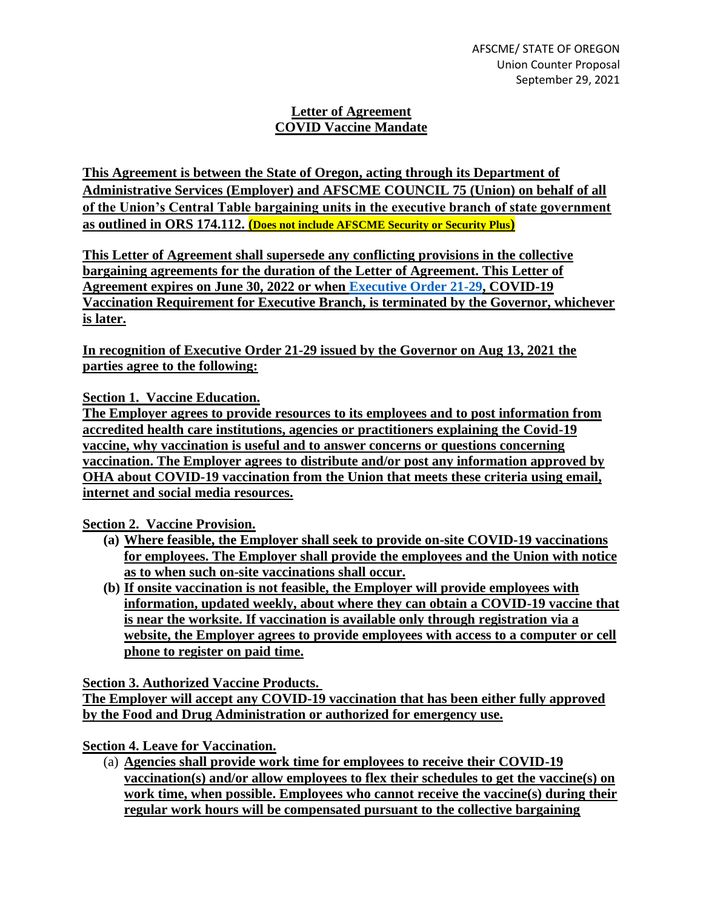## **Letter of Agreement COVID Vaccine Mandate**

**This Agreement is between the State of Oregon, acting through its Department of Administrative Services (Employer) and AFSCME COUNCIL 75 (Union) on behalf of all of the Union's Central Table bargaining units in the executive branch of state government as outlined in ORS 174.112. (Does not include AFSCME Security or Security Plus)**

**This Letter of Agreement shall supersede any conflicting provisions in the collective bargaining agreements for the duration of the Letter of Agreement. This Letter of Agreement expires on June 30, 2022 or when [Executive Order 21-29,](https://www.oregon.gov/gov/Documents/executive_orders/eo_21-29.pdf) COVID-19 Vaccination Requirement for Executive Branch, is terminated by the Governor, whichever is later.**

**In recognition of Executive Order 21-29 issued by the Governor on Aug 13, 2021 the parties agree to the following:**

**Section 1. Vaccine Education.**

**The Employer agrees to provide resources to its employees and to post information from accredited health care institutions, agencies or practitioners explaining the Covid-19 vaccine, why vaccination is useful and to answer concerns or questions concerning vaccination. The Employer agrees to distribute and/or post any information approved by OHA about COVID-19 vaccination from the Union that meets these criteria using email, internet and social media resources.**

**Section 2. Vaccine Provision.**

- **(a) Where feasible, the Employer shall seek to provide on-site COVID-19 vaccinations for employees. The Employer shall provide the employees and the Union with notice as to when such on-site vaccinations shall occur.**
- **(b) If onsite vaccination is not feasible, the Employer will provide employees with information, updated weekly, about where they can obtain a COVID-19 vaccine that is near the worksite. If vaccination is available only through registration via a website, the Employer agrees to provide employees with access to a computer or cell phone to register on paid time.**

**Section 3. Authorized Vaccine Products.**

**The Employer will accept any COVID-19 vaccination that has been either fully approved by the Food and Drug Administration or authorized for emergency use.**

**Section 4. Leave for Vaccination.**

(a) **Agencies shall provide work time for employees to receive their COVID-19 vaccination(s) and/or allow employees to flex their schedules to get the vaccine(s) on work time, when possible. Employees who cannot receive the vaccine(s) during their regular work hours will be compensated pursuant to the collective bargaining**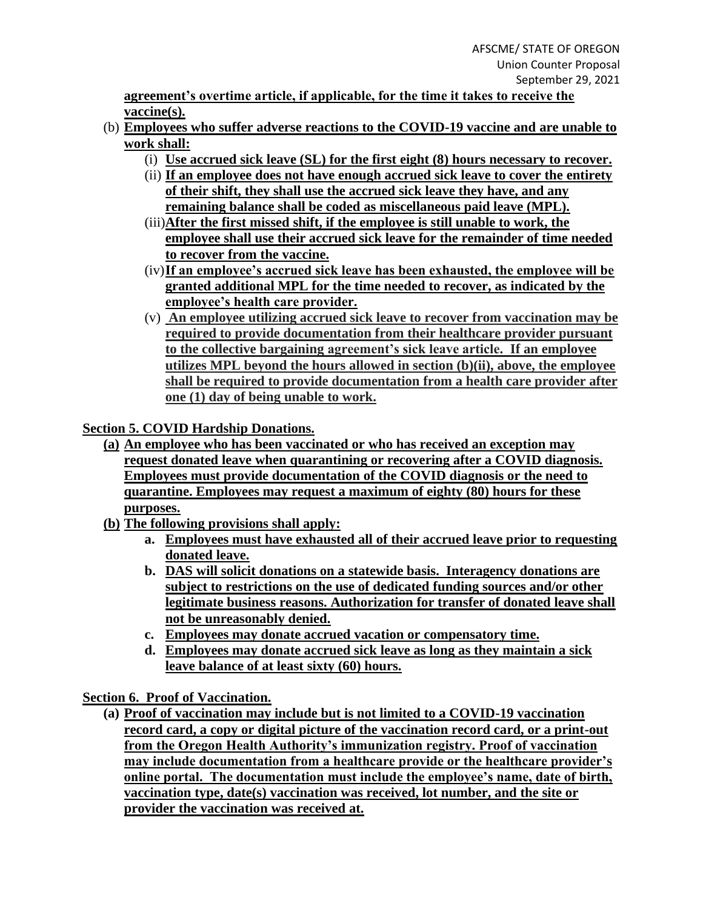**agreement's overtime article, if applicable, for the time it takes to receive the vaccine(s).**

- (b) **Employees who suffer adverse reactions to the COVID-19 vaccine and are unable to work shall:**
	- (i) **Use accrued sick leave (SL) for the first eight (8) hours necessary to recover.**
	- (ii) **If an employee does not have enough accrued sick leave to cover the entirety of their shift, they shall use the accrued sick leave they have, and any remaining balance shall be coded as miscellaneous paid leave (MPL).**
	- (iii)**After the first missed shift, if the employee is still unable to work, the employee shall use their accrued sick leave for the remainder of time needed to recover from the vaccine.**
	- (iv)**If an employee's accrued sick leave has been exhausted, the employee will be granted additional MPL for the time needed to recover, as indicated by the employee's health care provider.**
	- (v) **An employee utilizing accrued sick leave to recover from vaccination may be required to provide documentation from their healthcare provider pursuant to the collective bargaining agreement's sick leave article. If an employee utilizes MPL beyond the hours allowed in section (b)(ii), above, the employee shall be required to provide documentation from a health care provider after one (1) day of being unable to work.**

**Section 5. COVID Hardship Donations.**

- **(a) An employee who has been vaccinated or who has received an exception may request donated leave when quarantining or recovering after a COVID diagnosis. Employees must provide documentation of the COVID diagnosis or the need to quarantine. Employees may request a maximum of eighty (80) hours for these purposes.**
- **(b) The following provisions shall apply:**
	- **a. Employees must have exhausted all of their accrued leave prior to requesting donated leave.**
	- **b. DAS will solicit donations on a statewide basis. Interagency donations are subject to restrictions on the use of dedicated funding sources and/or other legitimate business reasons. Authorization for transfer of donated leave shall not be unreasonably denied.**
	- **c. Employees may donate accrued vacation or compensatory time.**
	- **d. Employees may donate accrued sick leave as long as they maintain a sick leave balance of at least sixty (60) hours.**

**Section 6. Proof of Vaccination.**

**(a) Proof of vaccination may include but is not limited to a COVID-19 vaccination record card, a copy or digital picture of the vaccination record card, or a print-out from the Oregon Health Authority's immunization registry. Proof of vaccination may include documentation from a healthcare provide or the healthcare provider's online portal. The documentation must include the employee's name, date of birth, vaccination type, date(s) vaccination was received, lot number, and the site or provider the vaccination was received at.**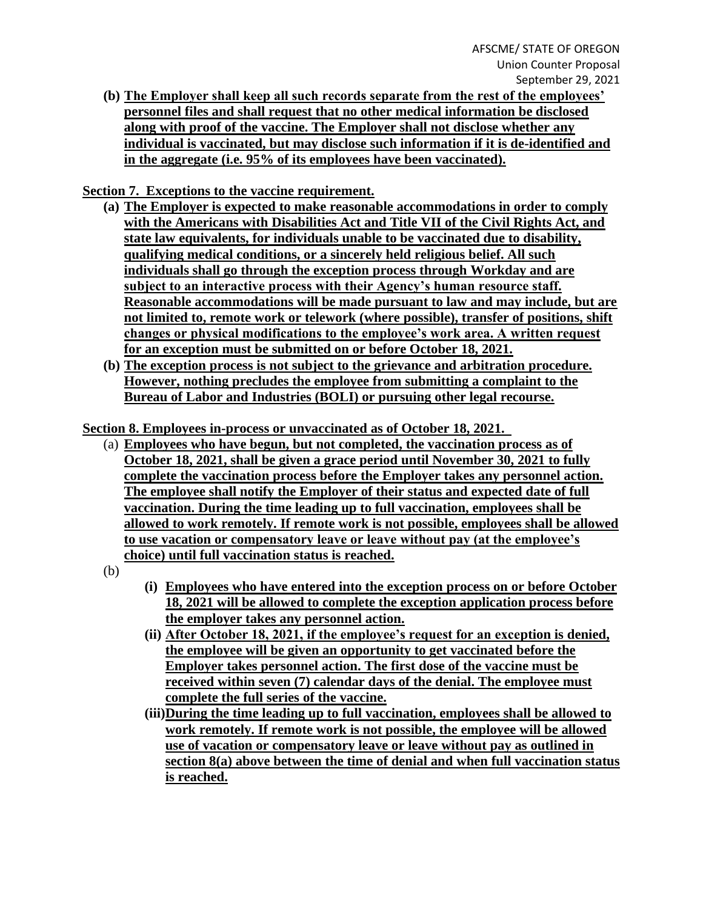**(b) The Employer shall keep all such records separate from the rest of the employees' personnel files and shall request that no other medical information be disclosed along with proof of the vaccine. The Employer shall not disclose whether any individual is vaccinated, but may disclose such information if it is de-identified and in the aggregate (i.e. 95% of its employees have been vaccinated).**

**Section 7. Exceptions to the vaccine requirement.** 

- **(a) The Employer is expected to make reasonable accommodations in order to comply with the Americans with Disabilities Act and Title VII of the Civil Rights Act, and state law equivalents, for individuals unable to be vaccinated due to disability, qualifying medical conditions, or a sincerely held religious belief. All such individuals shall go through the exception process through Workday and are subject to an interactive process with their Agency's human resource staff. Reasonable accommodations will be made pursuant to law and may include, but are not limited to, remote work or telework (where possible), transfer of positions, shift changes or physical modifications to the employee's work area. A written request for an exception must be submitted on or before October 18, 2021.**
- **(b) The exception process is not subject to the grievance and arbitration procedure. However, nothing precludes the employee from submitting a complaint to the Bureau of Labor and Industries (BOLI) or pursuing other legal recourse.**

**Section 8. Employees in-process or unvaccinated as of October 18, 2021.** 

- (a) **Employees who have begun, but not completed, the vaccination process as of October 18, 2021, shall be given a grace period until November 30, 2021 to fully complete the vaccination process before the Employer takes any personnel action. The employee shall notify the Employer of their status and expected date of full vaccination. During the time leading up to full vaccination, employees shall be allowed to work remotely. If remote work is not possible, employees shall be allowed to use vacation or compensatory leave or leave without pay (at the employee's choice) until full vaccination status is reached.**
- (b)
- **(i) Employees who have entered into the exception process on or before October 18, 2021 will be allowed to complete the exception application process before the employer takes any personnel action.**
- **(ii) After October 18, 2021, if the employee's request for an exception is denied, the employee will be given an opportunity to get vaccinated before the Employer takes personnel action. The first dose of the vaccine must be received within seven (7) calendar days of the denial. The employee must complete the full series of the vaccine.**
- **(iii)During the time leading up to full vaccination, employees shall be allowed to work remotely. If remote work is not possible, the employee will be allowed use of vacation or compensatory leave or leave without pay as outlined in section 8(a) above between the time of denial and when full vaccination status is reached.**